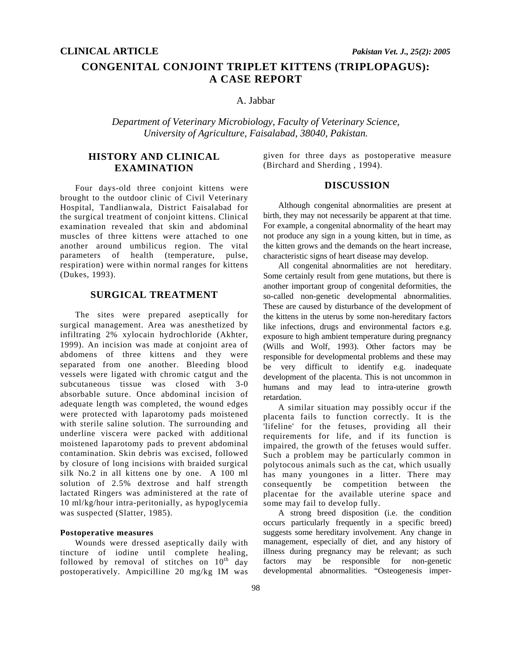# **CONGENITAL CONJOINT TRIPLET KITTENS (TRIPLOPAGUS): A CASE REPORT**

# A. Jabbar

*Department of Veterinary Microbiology, Faculty of Veterinary Science, University of Agriculture, Faisalabad, 38040, Pakistan.* 

# **HISTORY AND CLINICAL EXAMINATION**

Four days-old three conjoint kittens were brought to the outdoor clinic of Civil Veterinary Hospital, Tandlianwala, District Faisalabad for the surgical treatment of conjoint kittens. Clinical examination revealed that skin and abdominal muscles of three kittens were attached to one another around umbilicus region. The vital parameters of health (temperature, pulse, respiration) were within normal ranges for kittens (Dukes, 1993).

## **SURGICAL TREATMENT**

The sites were prepared aseptically for surgical management. Area was anesthetized by infiltrating 2% xylocain hydrochloride (Akhter, 1999). An incision was made at conjoint area of abdomens of three kittens and they were separated from one another. Bleeding blood vessels were ligated with chromic catgut and the subcutaneous tissue was closed with 3-0 absorbable suture. Once abdominal incision of adequate length was completed, the wound edges were protected with laparotomy pads moistened with sterile saline solution. The surrounding and underline viscera were packed with additional moistened laparotomy pads to prevent abdominal contamination. Skin debris was excised, followed by closure of long incisions with braided surgical silk No.2 in all kittens one by one. A 100 ml solution of 2.5% dextrose and half strength lactated Ringers was administered at the rate of 10 ml/kg/hour intra-peritonially, as hypoglycemia was suspected (Slatter, 1985).

#### **Postoperative measures**

Wounds were dressed aseptically daily with tincture of iodine until complete healing, followed by removal of stitches on  $10^{th}$  day postoperatively. Ampicilline 20 mg/kg IM was given for three days as postoperative measure (Birchard and Sherding , 1994).

#### **DISCUSSION**

Although congenital abnormalities are present at birth, they may not necessarily be apparent at that time. For example, a congenital abnormality of the heart may not produce any sign in a young kitten, but in time, as the kitten grows and the demands on the heart increase, characteristic signs of heart disease may develop.

 All congenital abnormalities are not hereditary. Some certainly result from gene mutations, but there is another important group of congenital deformities, the so-called non-genetic developmental abnormalities. These are caused by disturbance of the development of the kittens in the uterus by some non-hereditary factors like infections, drugs and environmental factors e.g. exposure to high ambient temperature during pregnancy (Wills and Wolf, 1993). Other factors may be responsible for developmental problems and these may be very difficult to identify e.g. inadequate development of the placenta. This is not uncommon in humans and may lead to intra-uterine growth retardation.

 A similar situation may possibly occur if the placenta fails to function correctly. It is the 'lifeline' for the fetuses, providing all their requirements for life, and if its function is impaired, the growth of the fetuses would suffer. Such a problem may be particularly common in polytocous animals such as the cat, which usually has many youngones in a litter. There may consequently be competition between the placentae for the available uterine space and some may fail to develop fully.

A strong breed disposition (i.e. the condition occurs particularly frequently in a specific breed) suggests some hereditary involvement. Any change in management, especially of diet, and any history of illness during pregnancy may be relevant; as such factors may be responsible for non-genetic developmental abnormalities. "Osteogenesis imper